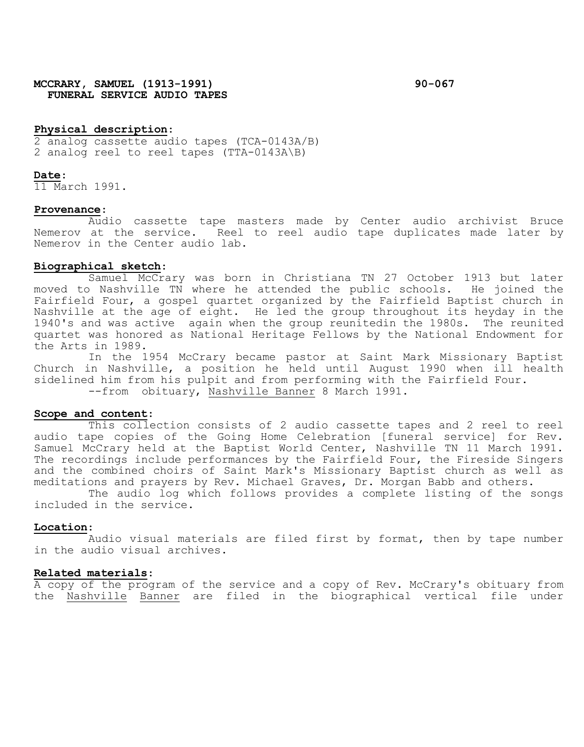# **MCCRARY, SAMUEL (1913-1991) 90-067 FUNERAL SERVICE AUDIO TAPES**

## **Physical description**:

2 analog cassette audio tapes (TCA-0143A/B) 2 analog reel to reel tapes (TTA-0143A\B)

#### **Date**:

11 March 1991.

### **Provenance**:

Audio cassette tape masters made by Center audio archivist Bruce Nemerov at the service. Reel to reel audio tape duplicates made later by Nemerov in the Center audio lab.

### **Biographical sketch**:

Samuel McCrary was born in Christiana TN 27 October 1913 but later<br>> Nashville TN where he attended the public schools. He joined the moved to Nashville TN where he attended the public schools. Fairfield Four, a gospel quartet organized by the Fairfield Baptist church in Nashville at the age of eight. He led the group throughout its heyday in the 1940's and was active again when the group reunitedin the 1980s. The reunited quartet was honored as National Heritage Fellows by the National Endowment for the Arts in 1989.

In the 1954 McCrary became pastor at Saint Mark Missionary Baptist Church in Nashville, a position he held until August 1990 when ill health sidelined him from his pulpit and from performing with the Fairfield Four.<br>--from obituary, Nashville Banner 8 March 1991.

# **Scope and content**:

This collection consists of 2 audio cassette tapes and 2 reel to reel audio tape copies of the Going Home Celebration [funeral service] for Rev. Samuel McCrary held at the Baptist World Center, Nashville TN 11 March 1991. The recordings include performances by the Fairfield Four, the Fireside Singers and the combined choirs of Saint Mark's Missionary Baptist church as well as meditations and prayers by Rev. Michael Graves, Dr. Morgan Babb and others.

The audio log which follows provides a complete listing of the songs included in the service.

#### **Location**:

Audio visual materials are filed first by format, then by tape number in the audio visual archives.

#### **Related materials**:

A copy of the program of the service and a copy of Rev. McCrary's obituary from the Nashville Banner are filed in the biographical vertical file under